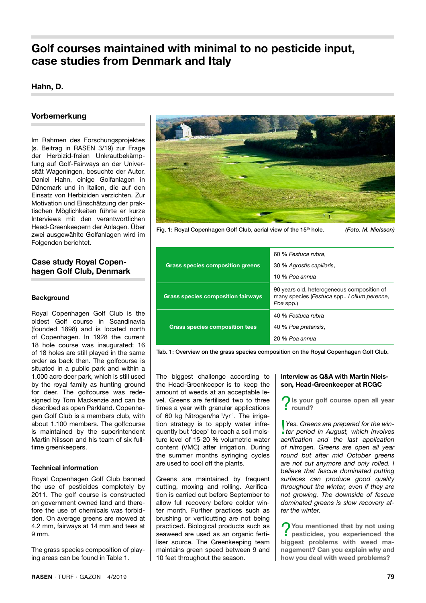# **Golf courses maintained with minimal to no pesticide input, case studies from Denmark and Italy**

## **Hahn, D.**

## **Vorbemerkung**

Im Rahmen des Forschungsprojektes (s. Beitrag in RASEN 3/19) zur Frage der Herbizid-freien Unkrautbekämpfung auf Golf-Fairways an der Universität Wageningen, besuchte der Autor, Daniel Hahn, einige Golfanlagen in Dänemark und in Italien, die auf den Einsatz von Herbiziden verzichten. Zur Motivation und Einschätzung der praktischen Möglichkeiten führte er kurze Interviews mit den verantwortlichen Head-Greenkeepern der Anlagen. Über zwei ausgewählte Golfanlagen wird im Folgenden berichtet.

## **Case study Royal Copenhagen Golf Club, Denmark**

#### **Background**

Royal Copenhagen Golf Club is the oldest Golf course in Scandinavia (founded 1898) and is located north of Copenhagen. In 1928 the current 18 hole course was inaugurated; 16 of 18 holes are still played in the same order as back then. The golfcourse is situated in a public park and within a 1.000 acre deer park, which is still used by the royal family as hunting ground for deer. The golfcourse was redesigned by Tom Mackenzie and can be described as open Parkland. Copenhagen Golf Club is a members club, with about 1.100 members. The golfcourse is maintained by the superintendent Martin Nilsson and his team of six fulltime greenkeepers.

### **Technical information**

Royal Copenhagen Golf Club banned the use of pesticides completely by 2011. The golf course is constructed on government owned land and therefore the use of chemicals was forbidden. On average greens are mowed at 4.2 mm, fairways at 14 mm and tees at 9 mm.

The grass species composition of playing areas can be found in Table 1.



Fig. 1: Royal Copenhagen Golf Club, aerial view of the 15<sup>th</sup> hole. *(Foto. M. Nielsson)* 

|                                           | 60 % Festuca rubra.                                                                                    |
|-------------------------------------------|--------------------------------------------------------------------------------------------------------|
| <b>Grass species composition greens</b>   | 30 % Agrostis capillaris,                                                                              |
|                                           | 10 % Poa annua                                                                                         |
| <b>Grass species composition fairways</b> | 90 years old, heterogeneous composition of<br>many species (Festuca spp., Lolium perenne,<br>Poa spp.) |
|                                           | 40 % Festuca rubra                                                                                     |
| <b>Grass species composition tees</b>     | 40 % Poa pratensis,                                                                                    |
|                                           | 20 % Poa annua                                                                                         |

Tab. 1: Overview on the grass species composition on the Royal Copenhagen Golf Club.

The biggest challenge according to the Head-Greenkeeper is to keep the amount of weeds at an acceptable level. Greens are fertilised two to three times a year with granular applications of 60 kg Nitrogen/ha<sup>-1</sup>/yr<sup>1</sup>. The irrigation strategy is to apply water infrequently but 'deep' to reach a soil moisture level of 15-20 % volumetric water content (VMC) after irrigation. During the summer months syringing cycles are used to cool off the plants.

Greens are maintained by frequent cutting, moxing and rolling. Aerification is carried out before September to allow full recovery before colder winter month. Further practices such as brushing or verticutting are not being practiced. Biological products such as seaweed are used as an organic fertiliser source. The Greenkeeping team maintains green speed between 9 and 10 feet throughout the season.

### **Interview as Q&A with Martin Nielsson, Head-Greenkeeper at RCGC**

? **Is your golf course open all year round?**

! *ter period in August, which involves Yes. Greens are prepared for the winaerification and the last application of nitrogen. Greens are open all year round but after mid October greens are not cut anymore and only rolled. I believe that fescue dominated putting surfaces can produce good quality throughout the winter, even if they are not growing. The downside of fescue dominated greens is slow recovery after the winter.*

? **You mentioned that by not using pesticides, you experienced the biggest problems with weed management? Can you explain why and how you deal with weed problems?**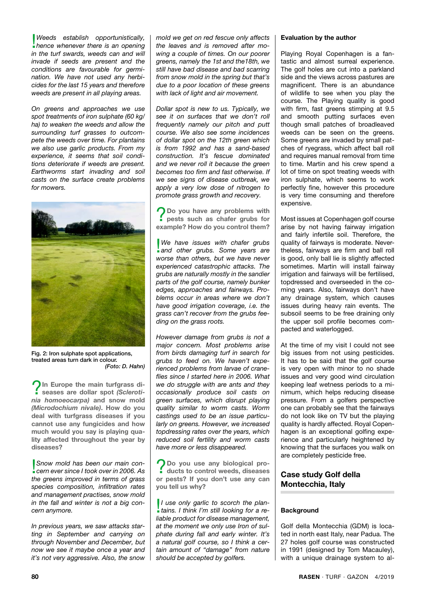! *Weeds establish opportunistically, hence whenever there is an opening in the turf swards, weeds can and will invade if seeds are present and the conditions are favourable for germination. We have not used any herbicides for the last 15 years and therefore weeds are present in all playing areas.* 

*On greens and approaches we use spot treatments of iron sulphate (60 kg/ ha) to weaken the weeds and allow the surrounding turf grasses to outcompete the weeds over time. For plantains we also use garlic products. From my experience, it seems that soil conditions deteriorate if weeds are present. Earthworms start invading and soil casts on the surface create problems for mowers.* 



Fig. 2: Iron sulphate spot applications, treated areas turn dark in colour. *(Foto: D. Hahn)*

**In Europe the main turfgrass diseases are dollar spot** *(Sclerotinia homoeocarpa)* **and snow mold**  *(Microdochium nivale)***. How do you deal with turfgrass diseases if you cannot use any fungicides and how much would you say is playing quality affected throughout the year by diseases?**

**Snow mold has been our main con-**<br>cern ever since I took over in 2006. As *cern ever since I took over in 2006. As the greens improved in terms of grass species composition, infiltration rates and management practises, snow mold in the fall and winter is not a big concern anymore.* 

*In previous years, we saw attacks starting in September and carrying on through November and December, but now we see it maybe once a year and it's not very aggressive. Also, the snow*  *mold we get on red fescue only affects the leaves and is removed after mowing a couple of times. On our poorer greens, namely the 1st and the18th, we still have bad disease and bad scarring from snow mold in the spring but that's due to a poor location of these greens with lack of light and air movement.*

*Dollar spot is new to us. Typically, we see it on surfaces that we don't roll frequently namely our pitch and putt course. We also see some incidences of dollar spot on the 12th green which is from 1992 and has a sand-based construction. It's fescue dominated and we never roll it because the green becomes too firm and fast otherwise. If we see signs of disease outbreak, we apply a very low dose of nitrogen to promote grass growth and recovery.*

?**Do you have any problems with pests such as chafer grubs for example? How do you control them?**

! *We have issues with chafer grubs and other grubs. Some years are worse than others, but we have never experienced catastrophic attacks. The grubs are naturally mostly in the sandier parts of the golf course, namely bunker edges, approaches and fairways. Problems occur in areas where we don't have good irrigation coverage, i.e. the grass can't recover from the grubs feeding on the grass roots.* 

*However damage from grubs is not a major concern. Most problems arise from birds damaging turf in search for grubs to feed on. We haven't experienced problems from larvae of craneflies since I started here in 2006. What we do struggle with are ants and they occasionally produce soil casts on green surfaces, which disrupt playing quality similar to worm casts. Worm castings used to be an issue particularly on greens. However, we increased topdressing rates over the years, which reduced soil fertility and worm casts have more or less disappeared.*

?**Do you use any biological pro-ducts to control weeds, diseases or pests? If you don't use any can you tell us why?**

I use only garlic to scorch the plan-<br>tains. I think I'm still looking for a re-*I use only garlic to scorch the planliable product for disease management, at the moment we only use Iron of sulphate during fall and early winter. It's a natural golf course, so I think a certain amount of "damage" from nature should be accepted by golfers.*

#### **Evaluation by the author**

Playing Royal Copenhagen is a fantastic and almost surreal experience. The golf holes are cut into a parkland side and the views across pastures are magnificent. There is an abundance of wildlife to see when you play the course. The Playing quality is good with firm, fast greens stimping at 9.5 and smooth putting surfaces even though small patches of broadleaved weeds can be seen on the greens. Some greens are invaded by small patches of ryegrass, which affect ball roll and requires manual removal from time to time. Martin and his crew spend a lot of time on spot treating weeds with iron sulphate, which seems to work perfectly fine, however this procedure is very time consuming and therefore expensive.

Most issues at Copenhagen golf course arise by not having fairway irrigation and fairly infertile soil. Therefore, the quality of fairways is moderate. Nevertheless, fairways are firm and ball roll is good, only ball lie is slightly affected sometimes. Martin will install fairway irrigation and fairways will be fertilised, topdressed and overseeded in the coming years. Also, fairways don't have any drainage system, which causes issues during heavy rain events. The subsoil seems to be free draining only the upper soil profile becomes compacted and waterlogged.

At the time of my visit I could not see big issues from not using pesticides. It has to be said that the golf course is very open with minor to no shade issues and very good wind circulation keeping leaf wetness periods to a minimum, which helps reducing disease pressure. From a golfers perspective one can probably see that the fairways do not look like on TV but the playing quality is hardly affected. Royal Copenhagen is an exceptional golfing experience and particularly heightened by knowing that the surfaces you walk on are completely pesticide free.

## **Case study Golf della Montecchia, Italy**

## **Background**

Golf della Montecchia (GDM) is located in north east Italy, near Padua. The 27 holes golf course was constructed in 1991 (designed by Tom Macauley), with a unique drainage system to al-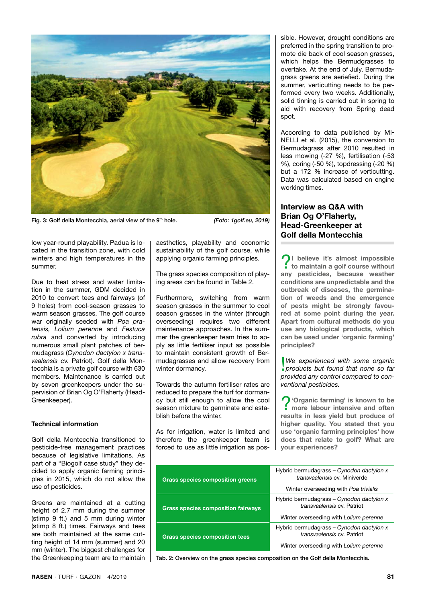

Fig. 3: Golf della Montecchia, aerial view of the 9th hole. *(Foto: 1golf.eu, 2019)*

low year-round playability. Padua is located in the transition zone, with cold winters and high temperatures in the summer.

Due to heat stress and water limitation in the summer, GDM decided in 2010 to convert tees and fairways (of 9 holes) from cool-season grasses to warm season grasses. The golf course war originally seeded with *Poa pratensis, Lolium perenne* and *Festuca rubra* and converted by introducing numerous small plant patches of bermudagrass (*Cynodon dactylon x transvaalensis* cv. Patriot). Golf della Montecchia is a private golf course with 630 members. Maintenance is carried out by seven greenkeepers under the supervision of Brian Og O'Flaherty (Head-Greenkeeper).

#### **Technical information**

Golf della Montecchia transitioned to pesticide-free management practices because of legislative limitations. As part of a "Biogolf case study" they decided to apply organic farming principles in 2015, which do not allow the use of pesticides.

Greens are maintained at a cutting height of 2.7 mm during the summer (stimp 9 ft.) and 5 mm during winter (stimp 8 ft.) times. Fairways and tees are both maintained at the same cutting height of 14 mm (summer) and 20 mm (winter). The biggest challenges for the Greenkeeping team are to maintain

aesthetics, playability and economic sustainability of the golf course, while applying organic farming principles.

The grass species composition of playing areas can be found in Table 2.

Furthermore, switching from warm season grasses in the summer to cool season grasses in the winter (through overseeding) requires two different maintenance approaches. In the summer the greenkeeper team tries to apply as little fertiliser input as possible to maintain consistent growth of Bermudagrasses and allow recovery from winter dormancy.

Towards the autumn fertiliser rates are reduced to prepare the turf for dormancy but still enough to allow the cool season mixture to germinate and establish before the winter.

As for irrigation, water is limited and therefore the greenkeeper team is forced to use as little irrigation as possible. However, drought conditions are preferred in the spring transition to promote die back of cool season grasses, which helps the Bermudgrasses to overtake. At the end of July, Bermudagrass greens are aeriefied. During the summer, verticutting needs to be performed every two weeks. Additionally, solid tinning is carried out in spring to aid with recovery from Spring dead spot.

According to data published by MI-NELLI et al. (2015), the conversion to Bermudagrass after 2010 resulted in less mowing (-27 %), fertilisation (-53 %), coring (-50 %), topdressing (-20 %) but a 172 % increase of verticutting. Data was calculated based on engine working times.

## **Interview as Q&A with Brian Og O'Flaherty, Head-Greenkeeper at Golf della Montecchia**

?**I believe it's almost impossible to maintain a golf course without any pesticides, because weather conditions are unpredictable and the outbreak of diseases, the germination of weeds and the emergence of pests might be strongly favoured at some point during the year. Apart from cultural methods do you use any biological products, which can be used under 'organic farming' principles?**

! *We experienced with some organic products but found that none so far provided any control compared to conventional pesticides.*

?**'Organic farming' is known to be more labour intensive and often results in less yield but produce of higher quality. You stated that you use 'organic farming principles' how does that relate to golf? What are your experiences?**

| <b>Grass species composition greens</b>   | Hybrid bermudagrass - Cynodon dactylon x<br>transvaalensis cv. Miniverde |
|-------------------------------------------|--------------------------------------------------------------------------|
|                                           | Winter overseeding with Poa trivialis                                    |
| <b>Grass species composition fairways</b> | Hybrid bermudagrass - Cynodon dactylon x<br>transvaalensis cv. Patriot   |
|                                           | Winter overseeding with Lolium perenne                                   |
| <b>Grass species composition tees</b>     | Hybrid bermudagrass - Cynodon dactylon x<br>transvaalensis cv. Patriot   |
|                                           | Winter overseeding with Lolium perenne                                   |

Tab. 2: Overview on the grass species composition on the Golf della Montecchia.